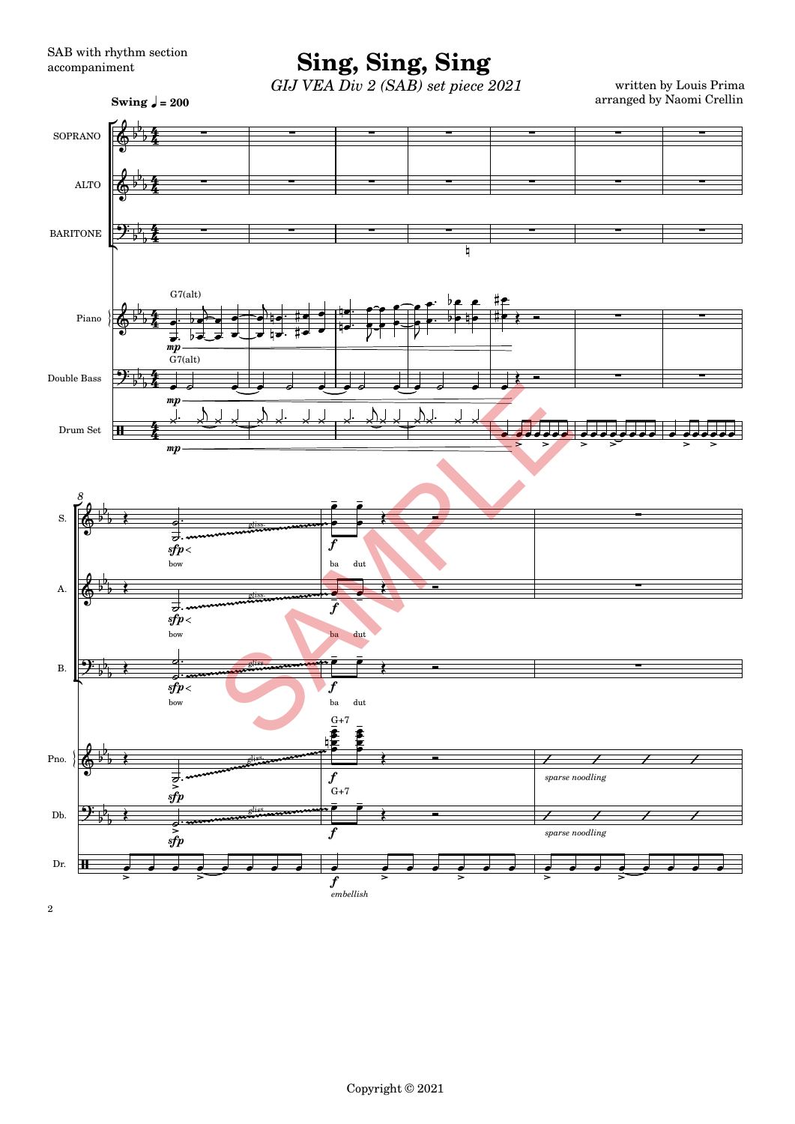## **Sing, Sing, Sing**

*GIJ VEA Div 2 (SAB) set piece 2021*

written by Louis Prima arranged by Naomi Crellin

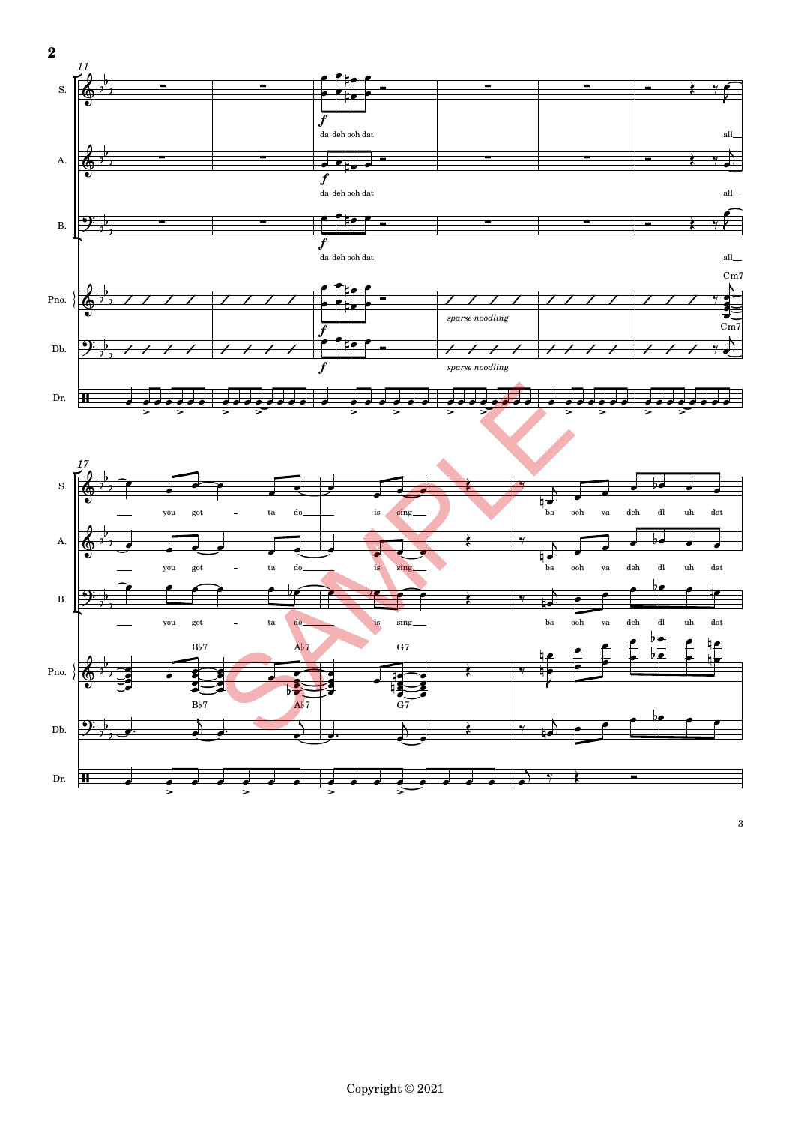



3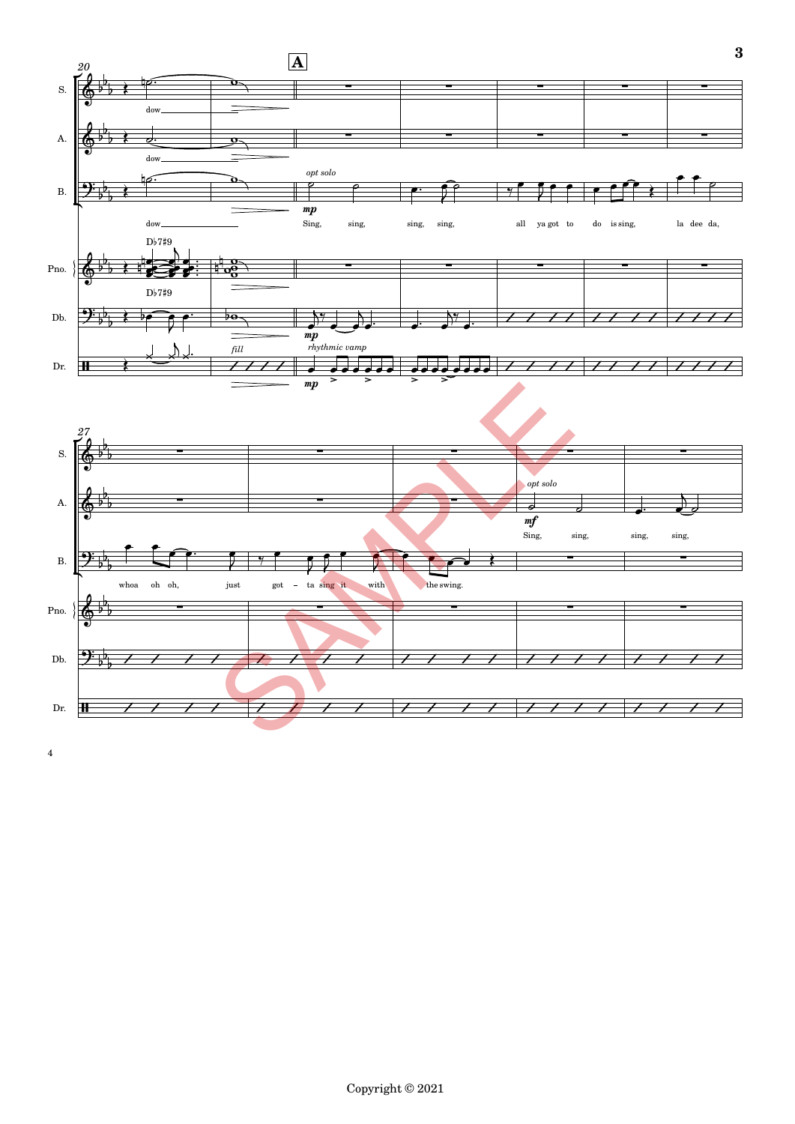

Copyright © 2021